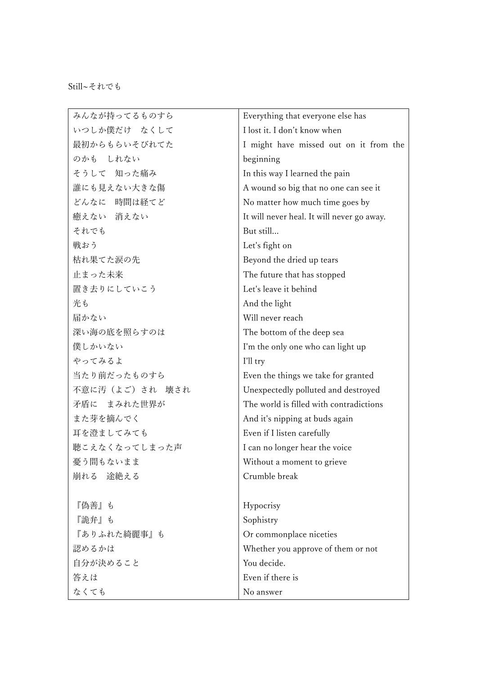| みんなが持ってるものすら   | Everything that everyone else has          |
|----------------|--------------------------------------------|
| いつしか僕だけ なくして   | I lost it. I don't know when               |
| 最初からもらいそびれてた   | I might have missed out on it from the     |
| のかも しれない       | beginning                                  |
| そうして 知った痛み     | In this way I learned the pain             |
| 誰にも見えない大きな傷    | A wound so big that no one can see it      |
| どんなに 時間は経てど    | No matter how much time goes by            |
| 癒えない 消えない      | It will never heal. It will never go away. |
| それでも           | But still                                  |
| 戦おう            | Let's fight on                             |
| 枯れ果てた涙の先       | Beyond the dried up tears                  |
| 止まった未来         | The future that has stopped                |
| 置き去りにしていこう     | Let's leave it behind                      |
| 光も             | And the light                              |
| 届かない           | Will never reach                           |
| 深い海の底を照らすのは    | The bottom of the deep sea                 |
| 僕しかいない         | I'm the only one who can light up          |
| やってみるよ         | I'll try                                   |
| 当たり前だったものすら    | Even the things we take for granted        |
| 不意に汚(よご)され 壊され | Unexpectedly polluted and destroyed        |
| 矛盾に まみれた世界が    | The world is filled with contradictions    |
| また芽を摘んでく       | And it's nipping at buds again             |
| 耳を澄ましてみても      | Even if I listen carefully                 |
| 聴こえなくなってしまった声  | I can no longer hear the voice             |
| 憂う間もないまま       | Without a moment to grieve                 |
| 崩れる 途絶える       | Crumble break                              |
|                |                                            |
| 『偽善』も          | Hypocrisy                                  |
| 『詭弁』も          | Sophistry                                  |
| 『ありふれた綺麗事』も    | Or commonplace niceties                    |
| 認めるかは          | Whether you approve of them or not         |
| 自分が決めること       | You decide.                                |
| 答えは            | Even if there is                           |
| なくても           | No answer                                  |